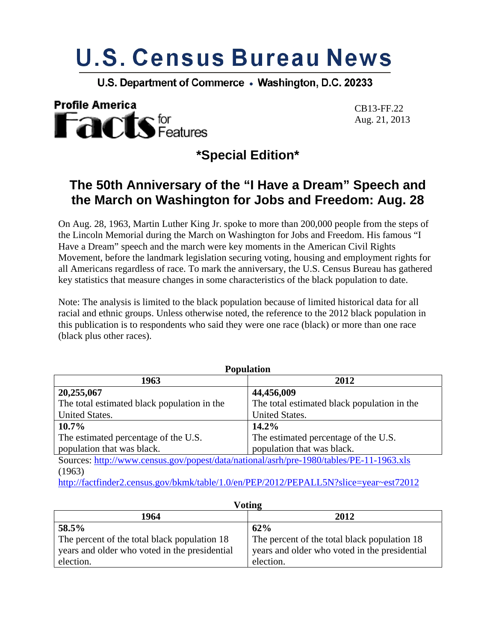# **U.S. Census Bureau News**

U.S. Department of Commerce . Washington, D.C. 20233



Aug. 21, 2013

**\*Special Edition\*** 

# **The 50th Anniversary of the "I Have a Dream" Speech and the March on Washington for Jobs and Freedom: Aug. 28**

On Aug. 28, 1963, Martin Luther King Jr. spoke to more than 200,000 people from the steps of the Lincoln Memorial during the March on Washington for Jobs and Freedom. His famous "I Have a Dream" speech and the march were key moments in the American Civil Rights Movement, before the landmark legislation securing voting, housing and employment rights for all Americans regardless of race. To mark the anniversary, the U.S. Census Bureau has gathered key statistics that measure changes in some characteristics of the black population to date.

Note: The analysis is limited to the black population because of limited historical data for all racial and ethnic groups. Unless otherwise noted, the reference to the 2012 black population in this publication is to respondents who said they were one race (black) or more than one race (black plus other races).

| <b>Population</b>                                                                       |                                             |
|-----------------------------------------------------------------------------------------|---------------------------------------------|
| 1963<br>2012                                                                            |                                             |
| 20,255,067                                                                              | 44,456,009                                  |
| The total estimated black population in the                                             | The total estimated black population in the |
| United States.                                                                          | United States.                              |
| $10.7\%$                                                                                | 14.2%                                       |
| The estimated percentage of the U.S.                                                    | The estimated percentage of the U.S.        |
| population that was black.                                                              | population that was black.                  |
| Sources: http://www.census.gov/popest/data/national/asrh/pre-1980/tables/PE-11-1963.xls |                                             |
| (1963)                                                                                  |                                             |
| http://factfinder2.census.gov/bkmk/table/1.0/en/PEP/2012/PEPALL5N?slice=year~est72012   |                                             |

| V ULIILLE                                     |                                               |
|-----------------------------------------------|-----------------------------------------------|
| 1964                                          | 2012                                          |
| 58.5%                                         | 62%                                           |
| The percent of the total black population 18  | The percent of the total black population 18  |
| years and older who voted in the presidential | years and older who voted in the presidential |
| election.                                     | election.                                     |

 $\mathbf{V}$ oting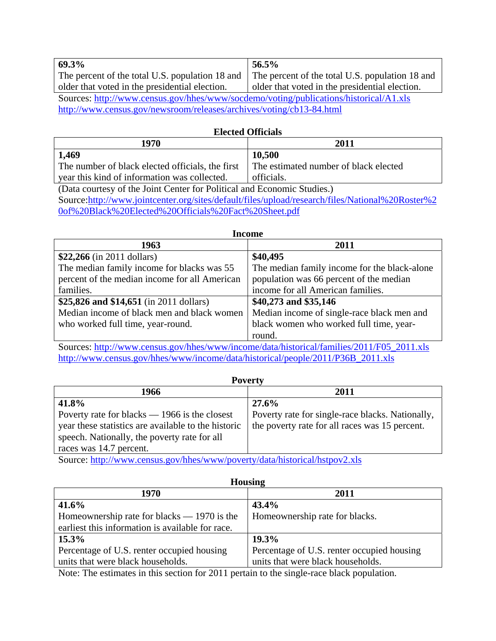| 69.3%                                                                                 | 56.5%                                           |
|---------------------------------------------------------------------------------------|-------------------------------------------------|
| The percent of the total U.S. population 18 and                                       | The percent of the total U.S. population 18 and |
| older that voted in the presidential election.                                        | older that voted in the presidential election.  |
| Sources: http://www.census.gov/hhes/www/socdemo/voting/publications/historical/A1.xls |                                                 |
| http://www.census.gov/newsroom/releases/archives/voting/cb13-84.html                  |                                                 |

#### **Elected Officials**

| 1970                                             | $201^{\circ}$                         |
|--------------------------------------------------|---------------------------------------|
| 1,469                                            | 10,500                                |
| The number of black elected officials, the first | The estimated number of black elected |
| vear this kind of information was collected.     | officials.                            |

(Data courtesy of the Joint Center for Political and Economic Studies.) Source:http://www.jointcenter.org/sites/default/files/upload/research/files/National%20Roster%2 0of%20Black%20Elected%20Officials%20Fact%20Sheet.pdf

| <b>Income</b>                                 |                                                                            |
|-----------------------------------------------|----------------------------------------------------------------------------|
| 1963                                          | 2011                                                                       |
| $$22,266$ (in 2011 dollars)                   | \$40,495                                                                   |
| The median family income for blacks was 55    | The median family income for the black-alone                               |
| percent of the median income for all American | population was 66 percent of the median                                    |
| families.                                     | income for all American families.                                          |
| \$25,826 and \$14,651 (in 2011 dollars)       | \$40,273 and \$35,146                                                      |
| Median income of black men and black women    | Median income of single-race black men and                                 |
| who worked full time, year-round.             | black women who worked full time, year-                                    |
|                                               | round.                                                                     |
| $\sim$<br>/11<br>$\mathbf{1}$ $\mathbf{1}$    | $(1, 0, 1)$ $(2, 3)$ $(3, 4)$ $(4, 5)$ $(5, 6)$ $(1, 7)$ $(5, 6)$ $(1, 7)$ |

Sources: http://www.census.gov/hhes/www/income/data/historical/families/2011/F05\_2011.xls http://www.census.gov/hhes/www/income/data/historical/people/2011/P36B\_2011.xls

| ν<br>г |
|--------|
|--------|

| 2011                                             |
|--------------------------------------------------|
| 27.6%                                            |
| Poverty rate for single-race blacks. Nationally, |
| the poverty rate for all races was 15 percent.   |
|                                                  |
|                                                  |

Source: http://www.census.gov/hhes/www/poverty/data/historical/hstpov2.xls

| <b>Housing</b>                                   |                                            |
|--------------------------------------------------|--------------------------------------------|
| 1970                                             | 2011                                       |
| 41.6%                                            | 43.4%                                      |
| Homeownership rate for blacks $- 1970$ is the    | Homeownership rate for blacks.             |
| earliest this information is available for race. |                                            |
| $15.3\%$                                         | 19.3%                                      |
| Percentage of U.S. renter occupied housing       | Percentage of U.S. renter occupied housing |
| units that were black households.                | units that were black households.          |

Note: The estimates in this section for 2011 pertain to the single-race black population.